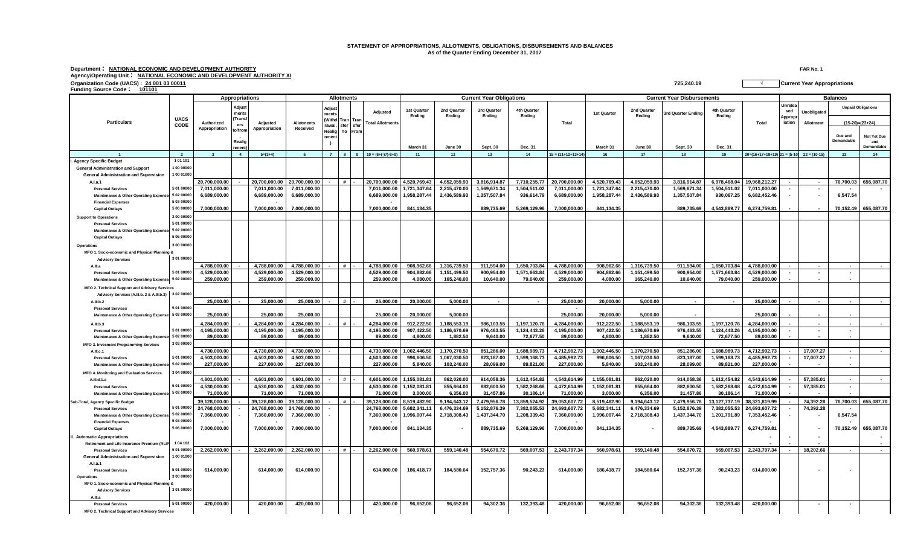## **STATEMENT OF APPROPRIATIONS, ALLOTMENTS, OBLIGATIONS, DISBURSEMENTS AND BALANCES As of the Quarter Ending December 31, 2017**

**Department : NATIONAL ECONOMIC AND DEVELOPMENT AUTHORITY FAR No. 1 Agency/Operating Unit : NATIONAL ECONOMIC AND DEVELOPMENT AUTHORITY XI**

| Funding Source Code: 101101                                                                                          | Organization Code (UACS): 24 001 03 00011 |                                            |                                                                            |               |                               |                                                    |                      |           |                                     |                                   |                                  |                                          |                                  |                                   | 725,240.19              |                                  |                                |                       |                                             |                                     | <b>Current Year Appropriations</b> |                       |                                                |  |
|----------------------------------------------------------------------------------------------------------------------|-------------------------------------------|--------------------------------------------|----------------------------------------------------------------------------|---------------|-------------------------------|----------------------------------------------------|----------------------|-----------|-------------------------------------|-----------------------------------|----------------------------------|------------------------------------------|----------------------------------|-----------------------------------|-------------------------|----------------------------------|--------------------------------|-----------------------|---------------------------------------------|-------------------------------------|------------------------------------|-----------------------|------------------------------------------------|--|
| <b>Particulars</b>                                                                                                   |                                           | <b>Allotments</b><br><b>Appropriations</b> |                                                                            |               |                               |                                                    |                      |           |                                     |                                   | <b>Current Year Obligations</b>  |                                          |                                  | <b>Current Year Disbursements</b> |                         |                                  |                                |                       |                                             | <b>Balances</b>                     |                                    |                       |                                                |  |
|                                                                                                                      | <b>UACS</b><br>CODE                       | Authorized                                 | Adjust<br>ments<br><b>Trans</b><br>ers<br>to/fror<br>Realig<br><b>ımen</b> | Adjusted      | <b>Allotments</b><br>Received | <b>Adjus</b><br>nent:<br>rawal,<br>Realig<br>ıment | Withd Tran Tran      |           | Adjusted<br><b>Total Allotments</b> | 1st Quarter<br>Ending<br>March 31 | 2nd Quarter<br>Ending<br>June 30 | 3rd Quarter<br>Ending<br><b>Sept. 30</b> | 4th Quarter<br>Ending<br>Dec. 31 | Total                             | 1st Quarter<br>March 31 | 2nd Quarter<br>Ending<br>June 30 | 3rd Quarter Ending<br>Sept. 30 | 4th Quarter<br>Ending |                                             | Unrelea<br>sed<br>Appropr<br>iation | Unobligated                        |                       | <b>Unpaid Obligations</b><br>$(15-20)=(23+24)$ |  |
|                                                                                                                      |                                           | Appropriation                              |                                                                            | Appropriation |                               |                                                    | sfer sfer<br>To From |           |                                     |                                   |                                  |                                          |                                  |                                   |                         |                                  |                                | Dec. 31               | Total                                       |                                     | Allotment                          | Due and<br>Demandable | Not Yet Due<br>and<br>Demandable               |  |
|                                                                                                                      | $\overline{2}$                            | $\overline{\mathbf{3}}$                    | $\overline{4}$                                                             | $5=(3+4)$     | 6                             | $\overline{7}$                                     |                      | $\bullet$ | $10 = (6+(-17)-8+9)$                | 11                                | 12                               | 13                                       | 14                               | $15 = (11+12+13+14)$              | 16                      | 17 <sup>2</sup>                  | 18                             | 19                    | $20=(16+17+18+19)$ $21=(5-10)$ $22=(10-15)$ |                                     |                                    | 23                    | 24                                             |  |
| Agency Specific Budget<br><b>General Administration and Support</b><br><b>General Administration and Supervision</b> | 1 01 101<br>1 00 00000<br>100 01000       | 20,700,000.00                              |                                                                            | 20,700,000.00 | 20,700,000.00                 |                                                    | $\boldsymbol{\mu}$   |           | 20,700,000.00                       | 4,520,769.43                      | 4,652,059.9                      | 3,816,914.87                             | 7,710,255.77                     | 20,700,000.00                     | 4,520,769.43            | 4,652,059.93                     | 3,816,914.87                   | 6,978,468.04          | 19,968,212.27                               |                                     |                                    | 76,700.03             | 655,087.70                                     |  |
| A.I.a.1<br><b>Personal Services</b>                                                                                  | 5 01 00000                                | 7,011,000.00                               |                                                                            | 7,011,000.00  | 7,011,000.00                  |                                                    |                      |           | 7,011,000.00                        | 1,721,347.64                      | 2,215,470.00                     | 1,569,671.34                             | 1,504,511.02                     | 7,011,000.00                      | 1,721,347.64            | 2,215,470.00                     | 1,569,671.34                   | 1,504,511.02          | 7,011,000.00                                | $\sim$                              | $\sim$                             |                       |                                                |  |
| <b>Maintenance &amp; Other Operating Expens</b>                                                                      | 5 02 00000                                | 6,689,000.00                               |                                                                            | 6,689,000.00  | 6,689,000.00                  |                                                    |                      |           | 6,689,000.00                        | 1,958,287.44                      | 2,436,589.93                     | 1,357,507.84                             | 936,614.79                       | 6,689,000.00                      | 1,958,287.44            | 2,436,589.93                     | 1,357,507.84                   | 930,067.25            | 6,682,452.46                                |                                     | $\sim$                             | 6,547.54              |                                                |  |
| <b>Financial Expenses</b>                                                                                            | 5 03 00000                                |                                            |                                                                            |               |                               |                                                    |                      |           |                                     |                                   |                                  |                                          |                                  |                                   |                         |                                  |                                |                       |                                             |                                     |                                    |                       |                                                |  |
| <b>Capital Outlavs</b>                                                                                               | 5 06 00000                                | 7.000.000.00                               |                                                                            | 7.000.000.00  | 7.000.000.00                  |                                                    |                      |           | 7.000.000.00                        | 841.134.35                        |                                  | 889.735.69                               | 5,269,129.96                     | 7.000.000.00                      | 841,134.35              |                                  | 889.735.69                     | 4.543.889.77          | 6,274,759.81                                |                                     |                                    | 70.152.49             | 655.087.70                                     |  |
| <b>Support to Operations</b>                                                                                         | 2 00 00000                                |                                            |                                                                            |               |                               |                                                    |                      |           |                                     |                                   |                                  |                                          |                                  |                                   |                         |                                  |                                |                       |                                             |                                     |                                    |                       |                                                |  |
| <b>Personal Services</b>                                                                                             | 5 01 00000                                |                                            |                                                                            |               |                               |                                                    |                      |           |                                     |                                   |                                  |                                          |                                  |                                   |                         |                                  |                                |                       |                                             |                                     |                                    |                       |                                                |  |
| Maintenance & Other Operating Expens                                                                                 | 5 02 00000                                |                                            |                                                                            |               |                               |                                                    |                      |           |                                     |                                   |                                  |                                          |                                  |                                   |                         |                                  |                                |                       |                                             |                                     |                                    |                       |                                                |  |
| <b>Capital Outlavs</b>                                                                                               | 5 06 00000                                |                                            |                                                                            |               |                               |                                                    |                      |           |                                     |                                   |                                  |                                          |                                  |                                   |                         |                                  |                                |                       |                                             |                                     |                                    |                       |                                                |  |
| Operations                                                                                                           | 3 00 00000                                |                                            |                                                                            |               |                               |                                                    |                      |           |                                     |                                   |                                  |                                          |                                  |                                   |                         |                                  |                                |                       |                                             |                                     |                                    |                       |                                                |  |
| MFO 1. Socio-economic and Physical Planning &                                                                        |                                           |                                            |                                                                            |               |                               |                                                    |                      |           |                                     |                                   |                                  |                                          |                                  |                                   |                         |                                  |                                |                       |                                             |                                     |                                    |                       |                                                |  |
| <b>Advisory Services</b>                                                                                             | 3 01 00000                                |                                            |                                                                            |               |                               |                                                    |                      |           |                                     |                                   |                                  |                                          |                                  |                                   |                         |                                  |                                |                       |                                             |                                     |                                    |                       |                                                |  |
| A.III.a                                                                                                              |                                           | 4,788,000.00                               |                                                                            | 4,788,000.00  | 4,788,000.00                  |                                                    | #                    |           | 4,788,000.00                        | 908,962.66                        | 1,316,739.50                     | 911,594.00                               | 1,650,703.84                     | 4,788,000.00                      | 908,962.66              | 1,316,739.50                     | 911,594.00                     | 1,650,703.84          | 4,788,000.00                                |                                     |                                    | $\sim$                |                                                |  |
| <b>Personal Services</b>                                                                                             | 5 01 00000                                | 4,529,000.00                               |                                                                            | 4,529,000.00  | 4,529,000.00                  |                                                    |                      |           | 4,529,000.00                        | 904,882.66                        | 1,151,499.50                     | 900,954.00                               | 1,571,663.84                     | 4,529,000.00                      | 904,882.66              | 1,151,499.50                     | 900,954.00                     | 1,571,663.84          | 4,529,000.00                                |                                     | $\sim$                             | $\sim$                |                                                |  |
| Maintenance & Other Operating Expense: 5 02 00000                                                                    |                                           | 259,000.00                                 |                                                                            | 259,000.00    | 259,000.00                    |                                                    |                      |           | 259,000.00                          | 4,080.00                          | 165,240.00                       | 10,640.00                                | 79,040.00                        | 259,000.00                        | 4,080.00                | 165,240.00                       | 10,640.00                      | 79,040.00             | 259,000.00                                  |                                     |                                    |                       |                                                |  |
| MFO 2. Technical Support and Advisory Services                                                                       |                                           |                                            |                                                                            |               |                               |                                                    |                      |           |                                     |                                   |                                  |                                          |                                  |                                   |                         |                                  |                                |                       |                                             |                                     |                                    |                       |                                                |  |
| Advisory Services (A.III.b. 2 & A.III.b.3) 3 02 00000                                                                |                                           |                                            |                                                                            |               |                               |                                                    |                      |           |                                     |                                   |                                  |                                          |                                  |                                   |                         |                                  |                                |                       |                                             |                                     |                                    |                       |                                                |  |
| A.IILb.2                                                                                                             |                                           | 25.000.00                                  |                                                                            | 25.000.00     | 25.000.00                     |                                                    | #                    |           | 25.000.00                           | 20.000.00                         | 5.000.00                         |                                          |                                  | 25.000.00                         | 20.000.00               | 5.000.00                         | $\sim$                         |                       | 25.000.00                                   |                                     | $\sim$                             |                       |                                                |  |
| <b>Personal Services</b>                                                                                             | 5 01 00000                                |                                            |                                                                            |               |                               |                                                    |                      |           |                                     |                                   |                                  |                                          |                                  |                                   |                         |                                  |                                |                       |                                             |                                     |                                    |                       |                                                |  |
| Maintenance & Other Operating Expens                                                                                 | 5 02 00000                                | 25,000.00                                  |                                                                            | 25.000.00     | 25.000.00                     |                                                    |                      |           | 25,000.00                           | 20,000.00                         | 5.000.00                         |                                          |                                  | 25,000.00                         | 20.000.00               | 5.000.00                         |                                |                       | 25.000.00                                   |                                     |                                    |                       |                                                |  |
| A.III.b.3                                                                                                            |                                           | 4,284,000.00                               |                                                                            | 4,284,000.00  | 4,284,000.00                  |                                                    |                      |           | 4,284,000.00                        | 912,222.50                        | 1,188,553.19                     | 986,103.55                               | 1,197,120.76                     | 4,284,000.00                      | 912,222.50              | 1,188,553.19                     | 986,103.55                     | 1,197,120.76          | 4,284,000.00                                |                                     | $\sim$                             | $\sim$                |                                                |  |
| <b>Personal Services</b>                                                                                             | 5 01 00000                                | 4.195.000.00                               |                                                                            | 4.195.000.00  | 4.195.000.00                  |                                                    |                      |           | 4.195.000.00                        | 907,422.50                        | 1.186.670.69                     | 976.463.55                               | 1.124.443.26                     | 4.195.000.00                      | 907,422.50              | 1.186.670.69                     | 976.463.55                     | 1.124.443.26          | 4.195.000.00                                |                                     | $\sim$                             | $\sim$                |                                                |  |
| <b>Maintenance &amp; Other Operating Expens</b>                                                                      | 5 02 00000                                | 89,000.00                                  |                                                                            | 89.000.00     | 89.000.00                     |                                                    |                      |           | 89.000.00                           | 4,800.00                          | 1,882.50                         | 9,640.00                                 | 72,677.50                        | 89,000.00                         | 4,800.00                | 1.882.50                         | 9.640.00                       | 72,677.50             | 89,000.00                                   |                                     |                                    |                       |                                                |  |
| <b>MFO 3. Invesment Programming Services</b>                                                                         | 3 03 00000                                |                                            |                                                                            |               |                               |                                                    |                      |           |                                     |                                   |                                  |                                          |                                  |                                   |                         |                                  |                                |                       |                                             |                                     |                                    |                       |                                                |  |
| A.III.c.1                                                                                                            |                                           | 4,730,000.00                               |                                                                            | 4,730,000.00  | 4,730,000.00                  |                                                    |                      |           | 4,730,000.00                        | 1,002,446.50                      | 1,170,270.50                     | 851,286.00                               | 1,688,989.73                     | 4,712,992.73                      | 1,002,446.50            | 1,170,270.50                     | 851,286.00                     | 1,688,989.73          | 4,712,992.73                                |                                     | 17,007.27                          | $\sim$                |                                                |  |
| <b>Personal Services</b>                                                                                             | 5 01 00000                                | 4,503,000.00                               |                                                                            | 4,503,000.00  | 4,503,000.00                  |                                                    |                      |           | 4,503,000.00                        | 996,606.50                        | 1,067,030.50                     | 823,187.00                               | 1,599,168.73                     | 4,485,992.73                      | 996,606.50              | 1,067,030.50                     | 823,187.00                     | 1,599,168.73          | 4,485,992.73                                |                                     | 17,007.27                          | $\sim$                |                                                |  |
| Maintenance & Other Operating Expens                                                                                 | 5 02 00000                                | 227,000.00                                 |                                                                            | 227,000.00    | 227.000.00                    |                                                    |                      |           | 227,000.00                          | 5,840.00                          | 103.240.00                       | 28,099.00                                | 89,821.00                        | 227,000.00                        | 5.840.00                | 103,240.00                       | 28,099.00                      | 89.821.00             | 227.000.00                                  |                                     |                                    |                       |                                                |  |
| MFO 4. Monitoring and Evaluation Services                                                                            | 3 04 00000                                |                                            |                                                                            |               |                               |                                                    |                      |           |                                     |                                   |                                  |                                          |                                  |                                   |                         |                                  |                                |                       |                                             |                                     |                                    |                       |                                                |  |
| A.IILd.1.a                                                                                                           |                                           | 4.601.000.00                               |                                                                            | 4.601.000.00  | 4.601.000.00                  |                                                    |                      |           | 4.601.000.00                        | 1.155.081.81                      | 862.020.00                       | 914.058.36                               | 1.612.454.82                     | 4.543.614.99                      | 1.155.081.81            | 862.020.00                       | 914.058.36                     | 1.612.454.82          | 4.543.614.99                                |                                     | 57.385.01                          | $\sim$                |                                                |  |
| <b>Personal Services</b>                                                                                             | 5 01 00000                                | 4.530.000.00                               |                                                                            | 4.530.000.00  | 4.530.000.00                  |                                                    |                      |           | 4.530.000.00                        | 1,152,081.81                      | 855.664.00                       | 882.600.50                               | 1.582.268.68                     | 4.472.614.99                      | 1,152,081.81            | 855.664.00                       | 882.600.50                     | 1.582.268.68          | 4.472.614.99                                |                                     | 57,385.01                          | $\sim$                |                                                |  |
| Maintenance & Other Operating Expens                                                                                 | 5 02 00000                                | 71,000.00                                  |                                                                            | 71,000.00     | 71,000.00                     |                                                    |                      |           | 71,000.00                           | 3,000.00                          | 6,356.00                         | 31,457.86                                | 30,186.14                        | 71,000.00                         | 3,000.00                | 6,356.00                         | 31,457.86                      | 30,186.14             | 71,000.00                                   |                                     |                                    |                       |                                                |  |
| Sub-Total, Agency Specific Budget                                                                                    |                                           | 39.128.000.00                              |                                                                            | 39.128.000.00 | 39.128.000.00                 |                                                    | #                    |           | 39.128.000.00                       | 8,519,482.90                      | 9.194.643.12                     | 7,479,956.78                             | 13,859,524.92                    | 39,053,607.72                     | 8,519,482.90            | 9.194.643.12                     | 7,479,956.78                   | 13, 127, 737. 19      | 38,321,819.99                               |                                     | 74,392.28                          | 76.700.03             | 655,087.70                                     |  |
| <b>Personal Services</b>                                                                                             | 5 01 00000                                | 24,768,000.00                              |                                                                            | 24,768,000.00 | 24,768,000.00                 |                                                    |                      |           | 24,768,000.00                       | 5,682,341.11                      | 6,476,334.69                     | 5,152,876.39                             | 7,382,055.53                     | 24,693,607.72                     | 5,682,341.11            | 6,476,334.69                     | 5,152,876.39                   | 7,382,055.53          | 24,693,607.72                               |                                     | 74,392.28                          |                       |                                                |  |
| <b>Maintenance &amp; Other Operating Expen</b>                                                                       | 5 02 00000                                | 7,360,000.00                               |                                                                            | 7,360,000.00  | 7,360,000.00                  |                                                    |                      |           | 7,360,000.00                        | 1,996,007.44                      | 2,718,308.43                     | 1,437,344.70                             | 1,208,339.43                     | 7,360,000.00                      | 1,996,007.44            | 2,718,308.43                     | 1,437,344.70                   | 1,201,791.89          | 7,353,452.46                                |                                     |                                    | 6,547.54              |                                                |  |
| <b>Financial Expenses</b>                                                                                            | 5 03 00000<br>5 06 00000                  |                                            |                                                                            |               |                               |                                                    |                      |           |                                     |                                   |                                  |                                          |                                  |                                   |                         |                                  |                                |                       | 6,274,759.81                                |                                     |                                    |                       |                                                |  |
| <b>Capital Outlays</b>                                                                                               |                                           | 7,000,000.00                               |                                                                            | 7,000,000.00  | 7,000,000.00                  |                                                    |                      |           | 7,000,000.00                        | 841,134.35                        |                                  | 889,735.69                               | 5,269,129.96                     | 7,000,000.00                      | 841,134.35              |                                  | 889,735.69                     | 4,543,889.77          |                                             |                                     | $\sim$                             | 70,152.49             | 655,087.70                                     |  |
| II. Automatic Appropriations                                                                                         |                                           |                                            |                                                                            |               |                               |                                                    |                      |           |                                     |                                   |                                  |                                          |                                  |                                   |                         |                                  |                                |                       |                                             |                                     |                                    |                       |                                                |  |
| Retirement and Life Insurance Premium (RLIF                                                                          | 1 04 102                                  |                                            |                                                                            |               |                               |                                                    |                      |           |                                     |                                   |                                  |                                          |                                  |                                   |                         |                                  |                                |                       |                                             |                                     |                                    |                       |                                                |  |
| <b>Personal Services</b>                                                                                             | 5 01 00000<br>1 00 01000                  | 2,262,000.00                               |                                                                            | 2,262,000.00  | 2,262,000.00                  |                                                    | #                    |           | 2,262,000.00                        | 560,978.61                        | 559,140.48                       | 554,670.72                               | 569,007.53                       | 2,243,797.34                      | 560,978.61              | 559,140.48                       | 554,670.72                     | 569,007.53            | 2,243,797.34                                |                                     | 18,202.66                          | $\sim$                | $\sim$                                         |  |
| <b>General Administration and Supervision</b>                                                                        |                                           |                                            |                                                                            |               |                               |                                                    |                      |           |                                     |                                   |                                  |                                          |                                  |                                   |                         |                                  |                                |                       |                                             |                                     |                                    |                       |                                                |  |
| A.l.a.1                                                                                                              | 5 01 00000                                |                                            |                                                                            |               |                               |                                                    |                      |           |                                     |                                   |                                  |                                          |                                  |                                   |                         |                                  |                                |                       |                                             |                                     |                                    |                       |                                                |  |
| <b>Personal Services</b><br>Operations                                                                               | 3 00 00000                                | 614,000.00                                 |                                                                            | 614,000.00    | 614,000.00                    |                                                    |                      |           | 614,000.00                          | 186,418.77                        | 184,580.64                       | 152,757.36                               | 90,243.23                        | 614,000.00                        | 186,418.77              | 184,580.64                       | 152,757.36                     | 90,243.23             | 614,000.00                                  |                                     |                                    |                       |                                                |  |
| MFO 1. Socio-economic and Physical Planning &                                                                        |                                           |                                            |                                                                            |               |                               |                                                    |                      |           |                                     |                                   |                                  |                                          |                                  |                                   |                         |                                  |                                |                       |                                             |                                     |                                    |                       |                                                |  |
| <b>Advisory Services</b>                                                                                             | 3 01 00000                                |                                            |                                                                            |               |                               |                                                    |                      |           |                                     |                                   |                                  |                                          |                                  |                                   |                         |                                  |                                |                       |                                             |                                     |                                    |                       |                                                |  |
| $\Delta$ III a                                                                                                       |                                           |                                            |                                                                            |               |                               |                                                    |                      |           |                                     |                                   |                                  |                                          |                                  |                                   |                         |                                  |                                |                       |                                             |                                     |                                    |                       |                                                |  |
| <b>Personal Services</b>                                                                                             | 5 01 00000                                | 420,000.00                                 |                                                                            | 420,000.00    | 420,000.00                    |                                                    |                      |           | 420,000.00                          | 96,652.08                         | 96,652.08                        | 94,302.36                                | 132,393.48                       | 420,000.00                        | 96,652.08               | 96,652.08                        | 94,302.36                      | 132,393.48            | 420,000.00                                  |                                     | $\sim$                             | $\sim$                |                                                |  |
| MFO 2. Technical Support and Advisory Services                                                                       |                                           |                                            |                                                                            |               |                               |                                                    |                      |           |                                     |                                   |                                  |                                          |                                  |                                   |                         |                                  |                                |                       |                                             |                                     |                                    |                       |                                                |  |
|                                                                                                                      |                                           |                                            |                                                                            |               |                               |                                                    |                      |           |                                     |                                   |                                  |                                          |                                  |                                   |                         |                                  |                                |                       |                                             |                                     |                                    |                       |                                                |  |